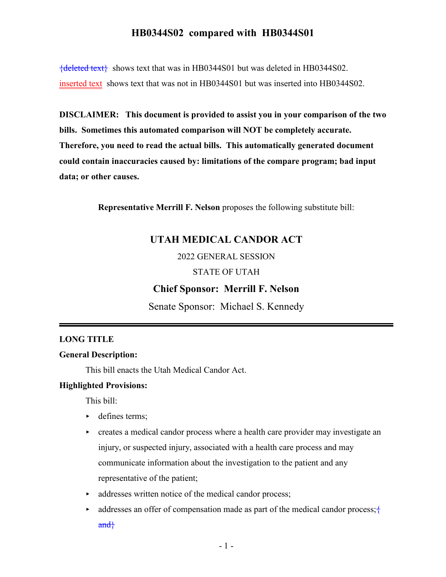${deleted text}$  shows text that was in HB0344S01 but was deleted in HB0344S02. inserted text shows text that was not in HB0344S01 but was inserted into HB0344S02.

**DISCLAIMER: This document is provided to assist you in your comparison of the two bills. Sometimes this automated comparison will NOT be completely accurate. Therefore, you need to read the actual bills. This automatically generated document could contain inaccuracies caused by: limitations of the compare program; bad input data; or other causes.**

**Representative Merrill F. Nelson** proposes the following substitute bill:

## **UTAH MEDICAL CANDOR ACT**

2022 GENERAL SESSION

#### STATE OF UTAH

### **Chief Sponsor: Merrill F. Nelson**

Senate Sponsor: Michael S. Kennedy

#### **LONG TITLE**

#### **General Description:**

This bill enacts the Utah Medical Candor Act.

#### **Highlighted Provisions:**

This bill:

- defines terms;
- creates a medical candor process where a health care provider may investigate an injury, or suspected injury, associated with a health care process and may communicate information about the investigation to the patient and any representative of the patient;
- $\triangleright$  addresses written notice of the medical candor process;
- $\blacktriangleright$  addresses an offer of compensation made as part of the medical candor process;  $\ddagger$ and}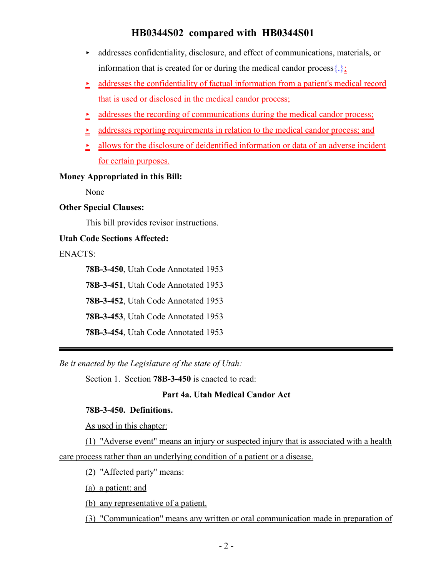- $\blacktriangleright$  addresses confidentiality, disclosure, and effect of communications, materials, or information that is created for or during the medical candor process  $\{\cdot\}$ ;
- $\geq$  addresses the confidentiality of factual information from a patient's medical record that is used or disclosed in the medical candor process;
- $\geq$  addresses the recording of communications during the medical candor process;
- $\geq$  addresses reporting requirements in relation to the medical candor process; and
- $\ge$  allows for the disclosure of deidentified information or data of an adverse incident for certain purposes.

#### **Money Appropriated in this Bill:**

None

#### **Other Special Clauses:**

This bill provides revisor instructions.

#### **Utah Code Sections Affected:**

ENACTS:

**78B-3-450**, Utah Code Annotated 1953

**78B-3-451**, Utah Code Annotated 1953

**78B-3-452**, Utah Code Annotated 1953

**78B-3-453**, Utah Code Annotated 1953

**78B-3-454**, Utah Code Annotated 1953

*Be it enacted by the Legislature of the state of Utah:*

Section 1. Section **78B-3-450** is enacted to read:

#### **Part 4a. Utah Medical Candor Act**

#### **78B-3-450. Definitions.**

As used in this chapter:

(1) "Adverse event" means an injury or suspected injury that is associated with a health

care process rather than an underlying condition of a patient or a disease.

(2) "Affected party" means:

(a) a patient; and

(b) any representative of a patient.

(3) "Communication" means any written or oral communication made in preparation of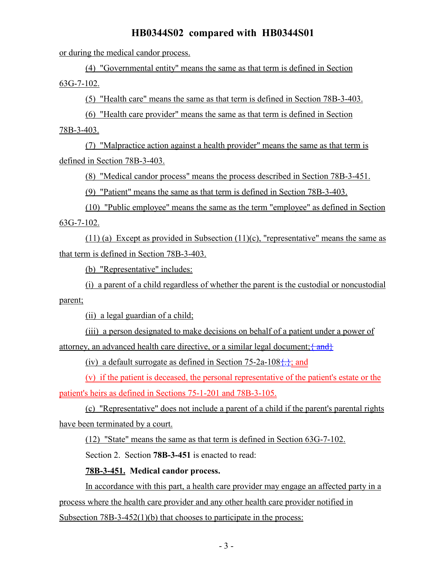or during the medical candor process.

(4) "Governmental entity" means the same as that term is defined in Section 63G-7-102.

(5) "Health care" means the same as that term is defined in Section 78B-3-403.

(6) "Health care provider" means the same as that term is defined in Section

78B-3-403.

(7) "Malpractice action against a health provider" means the same as that term is defined in Section 78B-3-403.

(8) "Medical candor process" means the process described in Section 78B-3-451.

(9) "Patient" means the same as that term is defined in Section 78B-3-403.

(10) "Public employee" means the same as the term "employee" as defined in Section 63G-7-102.

(11) (a) Except as provided in Subsection (11)(c), "representative" means the same as that term is defined in Section 78B-3-403.

(b) "Representative" includes:

(i) a parent of a child regardless of whether the parent is the custodial or noncustodial parent;

(ii) a legal guardian of a child;

(iii) a person designated to make decisions on behalf of a patient under a power of attorney, an advanced health care directive, or a similar legal document;  $\{$  and  $\}$ 

(iv) a default surrogate as defined in Section 75-2a-108 $\{.\}$ ; and

(v) if the patient is deceased, the personal representative of the patient's estate or the patient's heirs as defined in Sections 75-1-201 and 78B-3-105.

(c) "Representative" does not include a parent of a child if the parent's parental rights have been terminated by a court.

(12) "State" means the same as that term is defined in Section 63G-7-102.

Section 2. Section **78B-3-451** is enacted to read:

### **78B-3-451. Medical candor process.**

In accordance with this part, a health care provider may engage an affected party in a process where the health care provider and any other health care provider notified in Subsection 78B-3-452(1)(b) that chooses to participate in the process: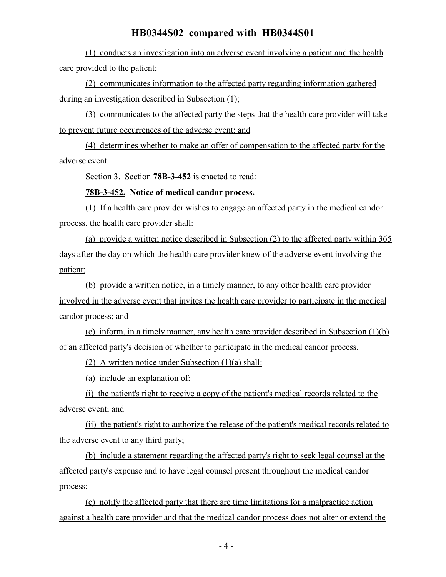(1) conducts an investigation into an adverse event involving a patient and the health care provided to the patient;

(2) communicates information to the affected party regarding information gathered during an investigation described in Subsection (1);

(3) communicates to the affected party the steps that the health care provider will take to prevent future occurrences of the adverse event; and

(4) determines whether to make an offer of compensation to the affected party for the adverse event.

Section 3. Section **78B-3-452** is enacted to read:

#### **78B-3-452. Notice of medical candor process.**

(1) If a health care provider wishes to engage an affected party in the medical candor process, the health care provider shall:

(a) provide a written notice described in Subsection (2) to the affected party within 365 days after the day on which the health care provider knew of the adverse event involving the patient;

(b) provide a written notice, in a timely manner, to any other health care provider involved in the adverse event that invites the health care provider to participate in the medical candor process; and

(c) inform, in a timely manner, any health care provider described in Subsection (1)(b) of an affected party's decision of whether to participate in the medical candor process.

(2) A written notice under Subsection (1)(a) shall:

(a) include an explanation of:

(i) the patient's right to receive a copy of the patient's medical records related to the adverse event; and

(ii) the patient's right to authorize the release of the patient's medical records related to the adverse event to any third party;

(b) include a statement regarding the affected party's right to seek legal counsel at the affected party's expense and to have legal counsel present throughout the medical candor process;

(c) notify the affected party that there are time limitations for a malpractice action against a health care provider and that the medical candor process does not alter or extend the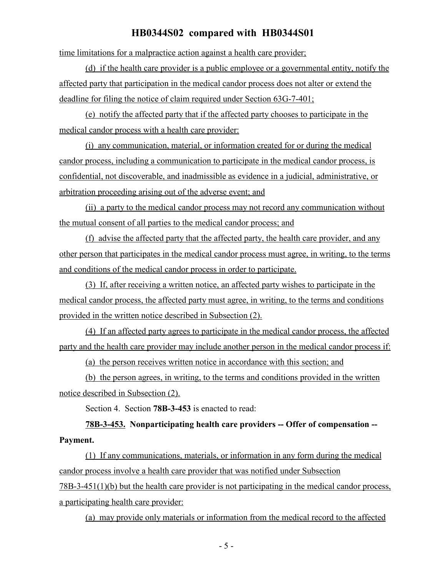time limitations for a malpractice action against a health care provider;

(d) if the health care provider is a public employee or a governmental entity, notify the affected party that participation in the medical candor process does not alter or extend the deadline for filing the notice of claim required under Section 63G-7-401;

(e) notify the affected party that if the affected party chooses to participate in the medical candor process with a health care provider:

(i) any communication, material, or information created for or during the medical candor process, including a communication to participate in the medical candor process, is confidential, not discoverable, and inadmissible as evidence in a judicial, administrative, or arbitration proceeding arising out of the adverse event; and

(ii) a party to the medical candor process may not record any communication without the mutual consent of all parties to the medical candor process; and

(f) advise the affected party that the affected party, the health care provider, and any other person that participates in the medical candor process must agree, in writing, to the terms and conditions of the medical candor process in order to participate.

(3) If, after receiving a written notice, an affected party wishes to participate in the medical candor process, the affected party must agree, in writing, to the terms and conditions provided in the written notice described in Subsection (2).

(4) If an affected party agrees to participate in the medical candor process, the affected party and the health care provider may include another person in the medical candor process if:

(a) the person receives written notice in accordance with this section; and

(b) the person agrees, in writing, to the terms and conditions provided in the written notice described in Subsection (2).

Section 4. Section **78B-3-453** is enacted to read:

# **78B-3-453. Nonparticipating health care providers -- Offer of compensation -- Payment.**

(1) If any communications, materials, or information in any form during the medical candor process involve a health care provider that was notified under Subsection 78B-3-451(1)(b) but the health care provider is not participating in the medical candor process, a participating health care provider:

(a) may provide only materials or information from the medical record to the affected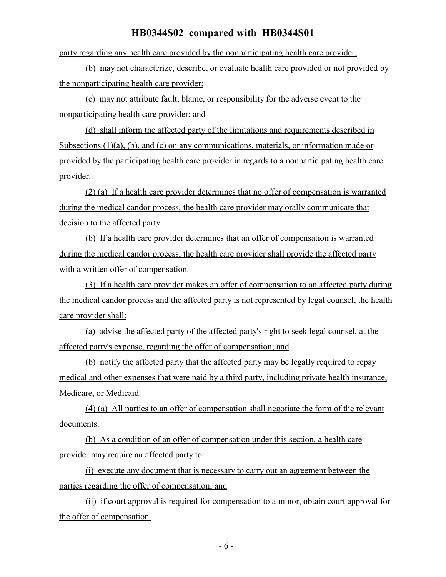party regarding any health care provided by the nonparticipating health care provider;

(b) may not characterize, describe, or evaluate health care provided or not provided by the nonparticipating health care provider;

(c) may not attribute fault, blame, or responsibility for the adverse event to the nonparticipating health care provider; and

(d) shall inform the affected party of the limitations and requirements described in Subsections (1)(a), (b), and (c) on any communications, materials, or information made or provided by the participating health care provider in regards to a nonparticipating health care provider.

(2) (a) If a health care provider determines that no offer of compensation is warranted during the medical candor process, the health care provider may orally communicate that decision to the affected party.

(b) If a health care provider determines that an offer of compensation is warranted during the medical candor process, the health care provider shall provide the affected party with a written offer of compensation.

(3) If a health care provider makes an offer of compensation to an affected party during the medical candor process and the affected party is not represented by legal counsel, the health care provider shall:

(a) advise the affected party of the affected party's right to seek legal counsel, at the affected party's expense, regarding the offer of compensation; and

(b) notify the affected party that the affected party may be legally required to repay medical and other expenses that were paid by a third party, including private health insurance, Medicare, or Medicaid.

(4) (a) All parties to an offer of compensation shall negotiate the form of the relevant documents.

(b) As a condition of an offer of compensation under this section, a health care provider may require an affected party to:

(i) execute any document that is necessary to carry out an agreement between the parties regarding the offer of compensation; and

(ii) if court approval is required for compensation to a minor, obtain court approval for the offer of compensation.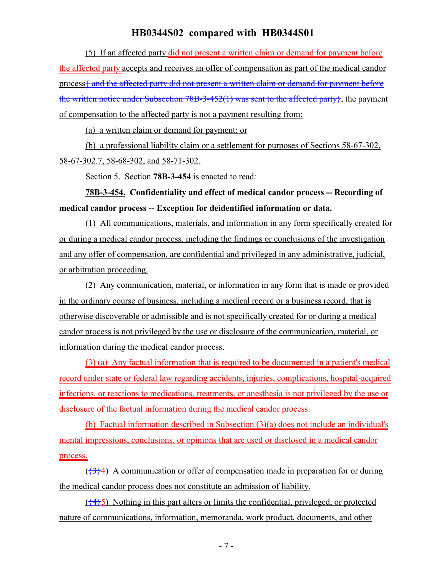(5) If an affected party did not present a written claim or demand for payment before the affected party accepts and receives an offer of compensation as part of the medical candor process and the affected party did not present a written claim or demand for payment before the written notice under Subsection  $78B-3-452(1)$  was sent to the affected party $\}$ , the payment of compensation to the affected party is not a payment resulting from:

(a) a written claim or demand for payment; or

(b) a professional liability claim or a settlement for purposes of Sections 58-67-302, 58-67-302.7, 58-68-302, and 58-71-302.

Section 5. Section **78B-3-454** is enacted to read:

**78B-3-454. Confidentiality and effect of medical candor process -- Recording of medical candor process -- Exception for deidentified information or data.**

(1) All communications, materials, and information in any form specifically created for or during a medical candor process, including the findings or conclusions of the investigation and any offer of compensation, are confidential and privileged in any administrative, judicial, or arbitration proceeding.

(2) Any communication, material, or information in any form that is made or provided in the ordinary course of business, including a medical record or a business record, that is otherwise discoverable or admissible and is not specifically created for or during a medical candor process is not privileged by the use or disclosure of the communication, material, or information during the medical candor process.

(3) (a) Any factual information that is required to be documented in a patient's medical record under state or federal law regarding accidents, injuries, complications, hospital-acquired infections, or reactions to medications, treatments, or anesthesia is not privileged by the use or disclosure of the factual information during the medical candor process.

(b) Factual information described in Subsection (3)(a) does not include an individual's mental impressions, conclusions, or opinions that are used or disclosed in a medical candor process.

 $({}^{43}$ <sup>2</sup>) A communication or offer of compensation made in preparation for or during the medical candor process does not constitute an admission of liability.

 $(\frac{44}{5})$  Nothing in this part alters or limits the confidential, privileged, or protected nature of communications, information, memoranda, work product, documents, and other